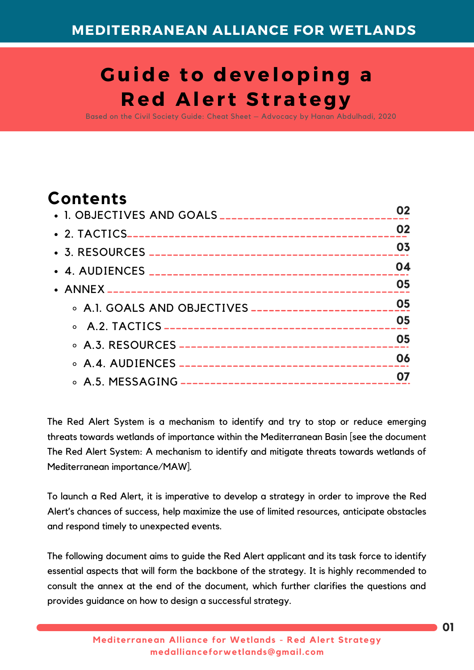# **G uide to developing a R ed Aler t St rategy**

Based on the Civil Society Guide: Cheat Sheet – Advocacy by Hanan Abdulhadi, 2020

# **Contents**

| 02 |
|----|
| 03 |
| 04 |
| 05 |
|    |
| 05 |
| 05 |
| 06 |
|    |
|    |

The Red Alert System is a mechanism to identify and try to stop or reduce emerging threats towards wetlands of importance within the Mediterranean Basin [see the document The Red Alert System: A mechanism to identify and mitigate threats towards wetlands of Mediterranean importance/MAW].

To launch a Red Alert, it is imperative to develop a strategy in order to improve the Red Alert's chances of success, help maximize the use of limited resources, anticipate obstacles and respond timely to unexpected events.

The following document aims to guide the Red Alert applicant and its task force to identify essential aspects that will form the backbone of the strategy. It is highly recommended to consult the annex at the end of the document, which further clarifies the questions and provides guidance on how to design a successful strategy.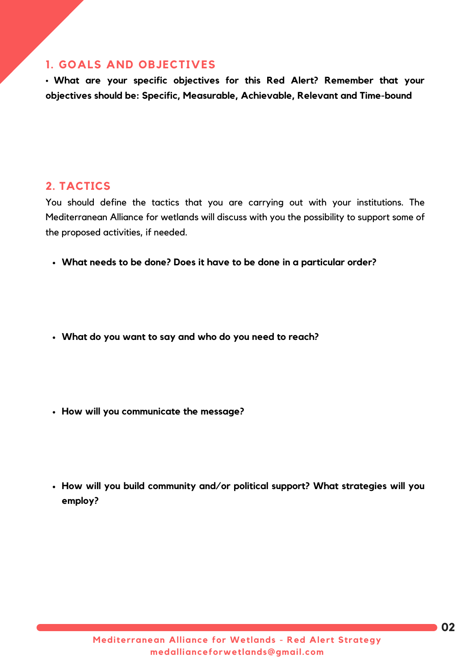## **1. GOALS AND OBJECTIVES**

• **What are your specific objectives for this Red Alert? Remember that your objectives should be: Specific, Measurable, Achievable, Relevant and Time-bound**

### **2. TACTICS**

You should define the tactics that you are carrying out with your institutions. The Mediterranean Alliance for wetlands will discuss with you the possibility to support some of the proposed activities, if needed.

- **What needs to be done? Does it have to be done in a particular order?**
- **What do you want to say and who do you need to reach?**
- **How will you communicate the message?**
- **How will you build community and/or political support? What strategies will you employ?**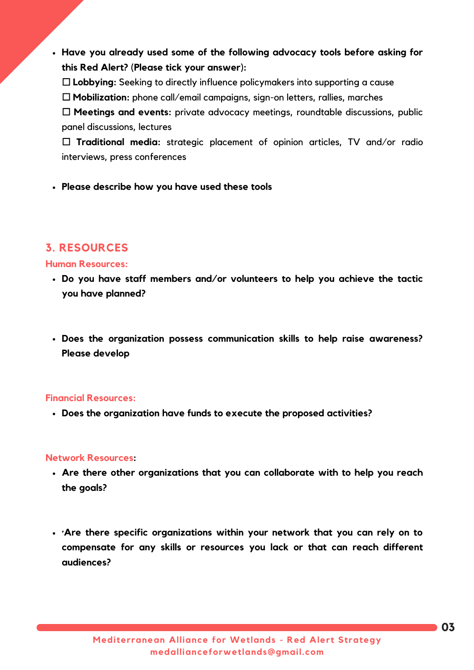- **Have you already used some of the following advocacy tools before asking for this Red Alert? (Please tick your answer):**
	- ☐ **Lobbying:** Seeking to directly influence policymakers into supporting a cause
	- ☐ **Mobilization:** phone call/email campaigns, sign-on letters, rallies, marches

☐ **Meetings and events:** private advocacy meetings, roundtable discussions, public panel discussions, lectures

☐ **Traditional media:** strategic placement of opinion articles, TV and/or radio interviews, press conferences

**Please describe how you have used these tools**

## **3. RESOURCES**

### **Human Resources:**

- **Do you have staff members and/or volunteers to help you achieve the tactic you have planned?**
- **Does the organization possess communication skills to help raise awareness? Please develop**

### **Financial Resources:**

**Does the organization have funds to execute the proposed activities?**

### **Network Resources:**

- **Are there other organizations that you can collaborate with to help you reach the goals?**
- **·Are there specific organizations within your network that you can rely on to compensate for any skills or resources you lack or that can reach different audiences?**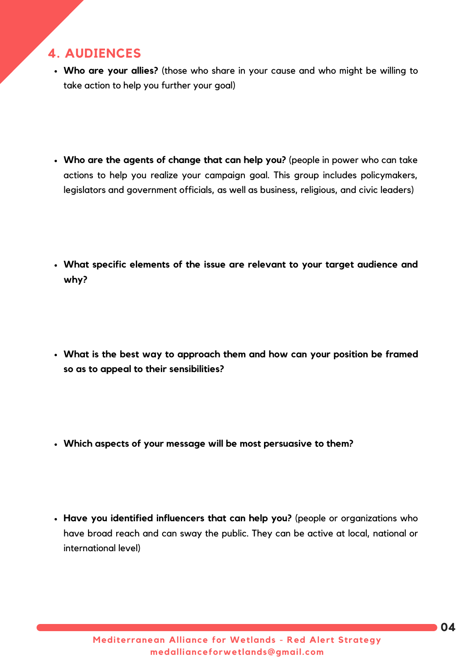# **4. AUDIENCES**

- **Who are your allies?** (those who share in your cause and who might be willing to take action to help you further your goal)
- **Who are the agents of change that can help you?** (people in power who can take actions to help you realize your campaign goal. This group includes policymakers, legislators and government officials, as well as business, religious, and civic leaders)
- **What specific elements of the issue are relevant to your target audience and why?**
- **What is the best way to approach them and how can your position be framed so as to appeal to their sensibilities?**
- **Which aspects of your message will be most persuasive to them?**
- **Have you identified influencers that can help you?** (people or organizations who have broad reach and can sway the public. They can be active at local, national or international level)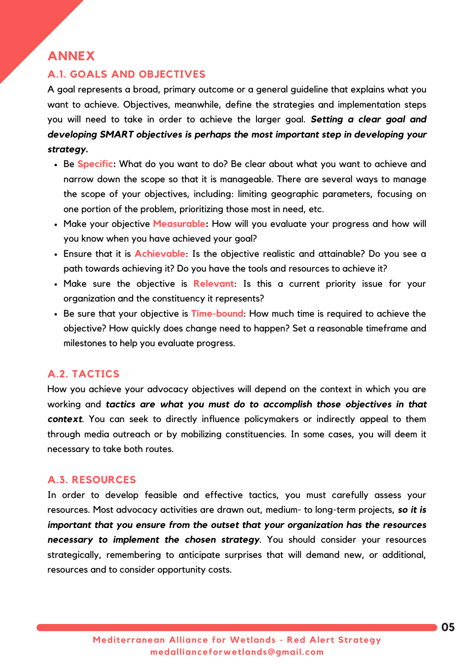# **ANNEX**

## **A.1. GOALS AND OBJECTIVES**

A goal represents a broad, primary outcome or a general guideline that explains what you want to achieve. Objectives, meanwhile, define the strategies and implementation steps you will need to take in order to achieve the larger goal. *Setting a clear goal and developing SMART objectives is perhaps the most important step in developing your strategy.*

- Be **Specific:** What do you want to do? Be clear about what you want to achieve and narrow down the scope so that it is manageable. There are several ways to manage the scope of your objectives, including: limiting geographic parameters, focusing on one portion of the problem, prioritizing those most in need, etc.
- Make your objective **Measurable:** How will you evaluate your progress and how will you know when you have achieved your goal?
- Ensure that it is **Achievable**: Is the objective realistic and attainable? Do you see a path towards achieving it? Do you have the tools and resources to achieve it?
- Make sure the objective is **Relevant**: Is this a current priority issue for your organization and the constituency it represents?
- Be sure that your objective is **Time-bound**: How much time is required to achieve the objective? How quickly does change need to happen? Set a reasonable timeframe and milestones to help you evaluate progress.

### **A.2. TACTICS**

How you achieve your advocacy objectives will depend on the context in which you are working and *tactics are what you must do to accomplish those objectives in that context*. You can seek to directly influence policymakers or indirectly appeal to them through media outreach or by mobilizing constituencies. In some cases, you will deem it necessary to take both routes.

### **A.3. RESOURCES**

In order to develop feasible and effective tactics, you must carefully assess your resources. Most advocacy activities are drawn out, medium- to long-term projects, *so it is important that you ensure from the outset that your organization has the resources necessary to implement the chosen strategy*. You should consider your resources strategically, remembering to anticipate surprises that will demand new, or additional, resources and to consider opportunity costs.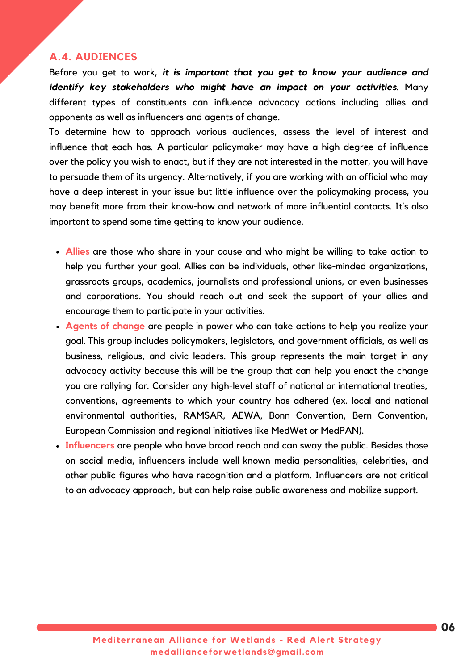### **A.4. AUDIENCES**

Before you get to work, *it is important that you get to know your audience and identify key stakeholders who might have an impact on your activities*. Many different types of constituents can influence advocacy actions including allies and opponents as well as influencers and agents of change.

To determine how to approach various audiences, assess the level of interest and influence that each has. A particular policymaker may have a high degree of influence over the policy you wish to enact, but if they are not interested in the matter, you will have to persuade them of its urgency. Alternatively, if you are working with an official who may have a deep interest in your issue but little influence over the policymaking process, you may benefit more from their know-how and network of more influential contacts. It's also important to spend some time getting to know your audience.

- **Allies** are those who share in your cause and who might be willing to take action to help you further your goal. Allies can be individuals, other like-minded organizations, grassroots groups, academics, journalists and professional unions, or even businesses and corporations. You should reach out and seek the support of your allies and encourage them to participate in your activities.
- **Agents of change** are people in power who can take actions to help you realize your goal. This group includes policymakers, legislators, and government officials, as well as business, religious, and civic leaders. This group represents the main target in any advocacy activity because this will be the group that can help you enact the change you are rallying for. Consider any high-level staff of national or international treaties, conventions, agreements to which your country has adhered (ex. local and national environmental authorities, RAMSAR, AEWA, Bonn Convention, Bern Convention, European Commission and regional initiatives like MedWet or MedPAN).
- **Influencers** are people who have broad reach and can sway the public. Besides those on social media, influencers include well-known media personalities, celebrities, and other public figures who have recognition and a platform. Influencers are not critical to an advocacy approach, but can help raise public awareness and mobilize support.